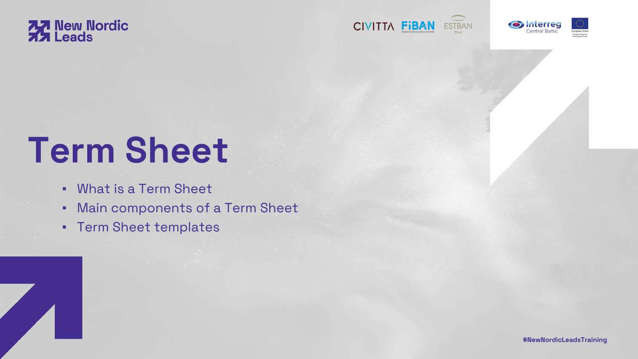

# **Term Sheet**

**#NewNordicLeadsTraining**



- What is a Term Sheet
- Main components of a Term Sheet
- Term Sheet templates









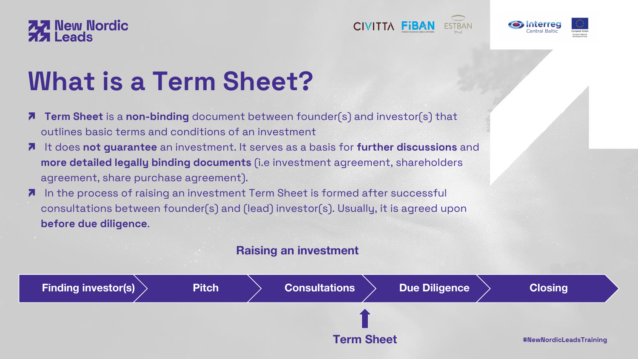- **Term Sheet** is a **non-binding** document between founder(s) and investor(s) that  $\mathbf{z}$ outlines basic terms and conditions of an investment
- It does **not guarantee** an investment. It serves as a basis for **further discussions** and  $\blacksquare$ **more detailed legally binding documents** (i.e investment agreement, shareholders agreement, share purchase agreement).
- In the process of raising an investment Term Sheet is formed after successful  $\boldsymbol{\lambda}$ consultations between founder(s) and (lead) investor(s). Usually, it is agreed upon **before due diligence**.



# **What is a Term Sheet?**









### **Raising an investment**

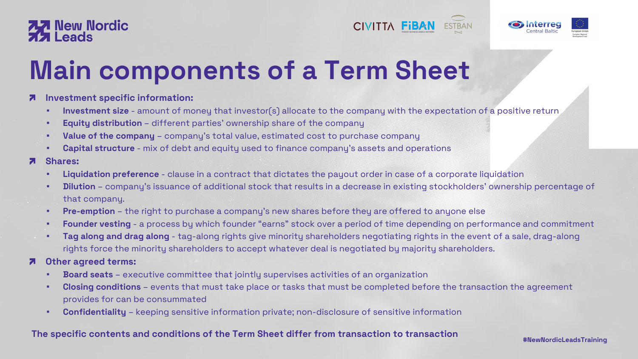- **Investment specific information:**   $7\overline{ }$ 
	- **. Investment size** amount of money that investor(s) allocate to the company with the expectation of a positive return
	- **Equity distribution** different parties' ownership share of the company
	- **Value of the company**  company's total value, estimated cost to purchase company
	- **Capital structure**  mix of debt and equity used to finance company's assets and operations
- **Shares:** 7
	- **Liquidation preference**  clause in a contract that dictates the payout order in case of a corporate liquidation
	- that company.
	- **Pre-emption** the right to purchase a company's new shares before they are offered to anyone else
	-
	- rights force the minority shareholders to accept whatever deal is negotiated by majority shareholders.

#### **Other agreed terms:** 71

- **Board seats**  executive committee that jointly supervises activities of an organization
- provides for can be consummated
- **Confidentiality**  keeping sensitive information private; non-disclosure of sensitive information

**#NewNordicLeadsTraining**



## **77** New Nordic

# **Main components of a Term Sheet**

#### **The specific contents and conditions of the Term Sheet differ from transaction to transaction**







**• Dilution** – company's issuance of additional stock that results in a decrease in existing stockholders' ownership percentage of

**Exampler vesting** - a process by which founder "earns" stock over a period of time depending on performance and commitment **Tag along and drag along** - tag-along rights give minority shareholders negotiating rights in the event of a sale, drag-along

**• Closing conditions** – events that must take place or tasks that must be completed before the transaction the agreement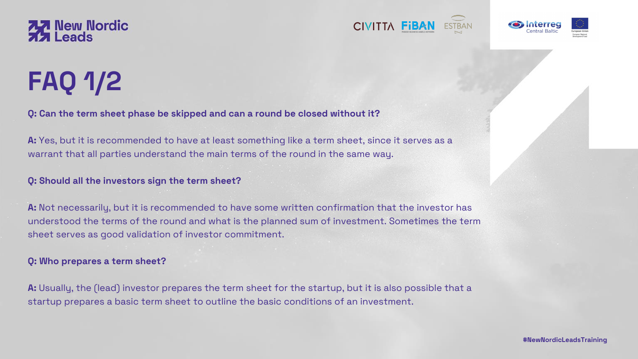**Q: Can the term sheet phase be skipped and can a round be closed without it?**

**A:** Yes, but it is recommended to have at least something like a term sheet, since it serves as a warrant that all parties understand the main terms of the round in the same way.

**Q: Should all the investors sign the term sheet?**

**A:** Not necessarily, but it is recommended to have some written confirmation that the investor has understood the terms of the round and what is the planned sum of investment. Sometimes the term sheet serves as good validation of investor commitment.

#### **Q: Who prepares a term sheet?**

**A:** Usually, the (lead) investor prepares the term sheet for the startup, but it is also possible that a startup prepares a basic term sheet to outline the basic conditions of an investment.







**#NewNordicLeadsTraining**





# **FAQ 1/2**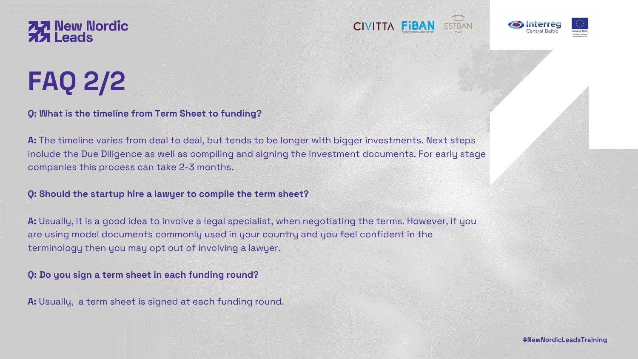### **Q: What is the timeline from Term Sheet to funding?**

**A:** The timeline varies from deal to deal, but tends to be longer with bigger investments. Next steps include the Due Diligence as well as compiling and signing the investment documents. For early stage companies this process can take 2-3 months.

#### **Q: Should the startup hire a lawyer to compile the term sheet?**

**A:** Usually, it is a good idea to involve a legal specialist, when negotiating the terms. However, if you are using model documents commonly used in your country and you feel confident in the terminology then you may opt out of involving a lawyer.

#### **Q: Do you sign a term sheet in each funding round?**

**A:** Usually, a term sheet is signed at each funding round.









**#NewNordicLeadsTraining**



## **77 New Nordic**<br> **77 Leads**

# **FAQ 2/2**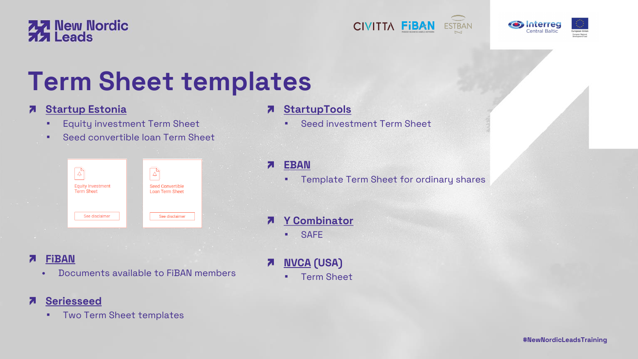- **FiBAN** Ζ
	- Documents available to FiBAN members

## **7** Seriesseed

**· Two Term Sheet templates** 







### **[StartupTools](https://startuptools.org/fi/term-sheet/)**

**Example 2** Seed investment Term Sheet

**• Template Term Sheet for ordinary shares** 

### **[Y Combinator](https://www.ycombinator.com/documents/)**





| <b>Equity Investment</b><br><b>Term Sheet</b> | <b>Seed Convertible</b><br><b>Loan Term Sheet</b> |  |
|-----------------------------------------------|---------------------------------------------------|--|
| See disclaimer                                | See disclaimer                                    |  |

▪ SAFE

 $\overline{\bf z}$ 

 $\overline{\phantom{a}}$ 

## **[NVCA](https://nvca.org/model-legal-documents/) (USA)** ▪ Term Sheet

**#NewNordicLeadsTraining**